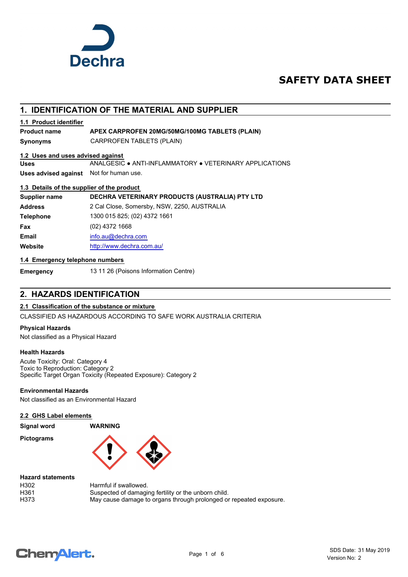

# **SAFETY DATA SHEET**

# **1. IDENTIFICATION OF THE MATERIAL AND SUPPLIER Synonyms** CARPROFEN TABLETS (PLAIN) **Uses** ANALGESIC ● ANTI-INFLAMMATORY ● VETERINARY APPLICATIONS **Uses advised against** Not for human use. **1.2 Uses and uses advised against 1.3 Details of the supplier of the product Supplier name DECHRA VETERINARY PRODUCTS (AUSTRALIA) PTY LTD Address** 2 Cal Close, Somersby, NSW, 2250, AUSTRALIA **Telephone** 1300 015 825; (02) 4372 1661 **Fax** (02) 4372 1668 **Email** [info.au@](mailto:info.au@dechra.com)dechra.com **1.4 Emergency telephone numbers Website** [http://www.](http://www.dechra.com.au/)dechra.com.au/ **1.1 Product identifier Product name APEX CARPROFEN 20MG/50MG/100MG TABLETS (PLAIN)**

**Emergency** 13 11 26 (Poisons Information Centre)

# **2. HAZARDS IDENTIFICATION**

## **2.1 Classification of the substance or mixture**

CLASSIFIED AS HAZARDOUS ACCORDING TO SAFE WORK AUSTRALIA CRITERIA

## **Physical Hazards**

Not classified as a Physical Hazard

## **Health Hazards**

Acute Toxicity: Oral: Category 4 Toxic to Reproduction: Category 2 Specific Target Organ Toxicity (Repeated Exposure): Category 2

#### **Environmental Hazards**

Not classified as an Environmental Hazard

## **2.2 GHS Label elements**

**Signal word WARNING**

**Pictograms**



### **Hazard statements**

| H302 | Harmful if swallowed.                                              |
|------|--------------------------------------------------------------------|
| H361 | Suspected of damaging fertility or the unborn child.               |
| H373 | May cause damage to organs through prolonged or repeated exposure. |

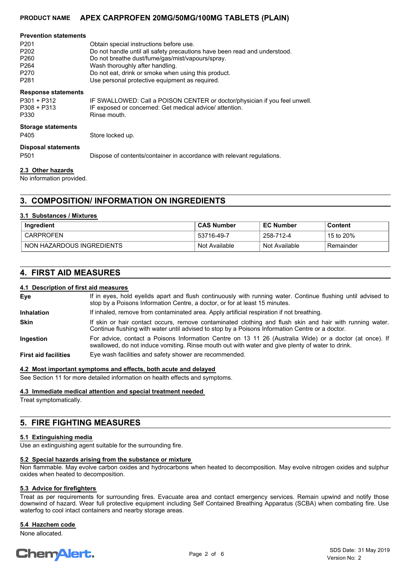## **PRODUCT NAME APEX CARPROFEN 20MG/50MG/100MG TABLETS (PLAIN)**

| <b>Prevention statements</b><br>P <sub>201</sub><br>P <sub>202</sub><br>P <sub>260</sub><br>P <sub>264</sub><br>P <sub>270</sub><br>P <sub>281</sub> | Obtain special instructions before use.<br>Do not handle until all safety precautions have been read and understood.<br>Do not breathe dust/fume/gas/mist/vapours/spray.<br>Wash thoroughly after handling.<br>Do not eat, drink or smoke when using this product.<br>Use personal protective equipment as required. |
|------------------------------------------------------------------------------------------------------------------------------------------------------|----------------------------------------------------------------------------------------------------------------------------------------------------------------------------------------------------------------------------------------------------------------------------------------------------------------------|
| <b>Response statements</b><br>$P301 + P312$<br>$P308 + P313$<br>P330                                                                                 | IF SWALLOWED: Call a POISON CENTER or doctor/physician if you feel unwell.<br>IF exposed or concerned: Get medical advice/attention.<br>Rinse mouth.                                                                                                                                                                 |
| <b>Storage statements</b><br>P405                                                                                                                    | Store locked up.                                                                                                                                                                                                                                                                                                     |
| <b>Disposal statements</b><br>P <sub>501</sub>                                                                                                       | Dispose of contents/container in accordance with relevant regulations.                                                                                                                                                                                                                                               |
|                                                                                                                                                      |                                                                                                                                                                                                                                                                                                                      |

## **2.3 Other hazards**

No information provided.

# **3. COMPOSITION/ INFORMATION ON INGREDIENTS**

## **3.1 Substances / Mixtures**

| Ingredient                | <b>CAS Number</b> | <b>EC Number</b> | Content                         |
|---------------------------|-------------------|------------------|---------------------------------|
| ' CARPROFEN               | 53716-49-7        | 258-712-4        | $^{\circ}$ 15 to 20% $^{\circ}$ |
| NON HAZARDOUS INGREDIENTS | Not Available     | Not Available    | Remainder                       |

## **4. FIRST AID MEASURES**

### **4.1 Description of first aid measures**

If in eyes, hold eyelids apart and flush continuously with running water. Continue flushing until advised to stop by a Poisons Information Centre, a doctor, or for at least 15 minutes. **Eye Inhalation** If inhaled, remove from contaminated area. Apply artificial respiration if not breathing. If skin or hair contact occurs, remove contaminated clothing and flush skin and hair with running water. Continue flushing with water until advised to stop by a Poisons Information Centre or a doctor. **Skin** For advice, contact a Poisons Information Centre on 13 11 26 (Australia Wide) or a doctor (at once). If swallowed, do not induce vomiting. Rinse mouth out with water and give plenty of water to drink. **Ingestion First aid facilities** Eye wash facilities and safety shower are recommended.

## **4.2 Most important symptoms and effects, both acute and delayed**

See Section 11 for more detailed information on health effects and symptoms.

#### **4.3 Immediate medical attention and special treatment needed**

Treat symptomatically.

# **5. FIRE FIGHTING MEASURES**

#### **5.1 Extinguishing media**

Use an extinguishing agent suitable for the surrounding fire.

## **5.2 Special hazards arising from the substance or mixture**

Non flammable. May evolve carbon oxides and hydrocarbons when heated to decomposition. May evolve nitrogen oxides and sulphur oxides when heated to decomposition.

#### **5.3 Advice for firefighters**

Treat as per requirements for surrounding fires. Evacuate area and contact emergency services. Remain upwind and notify those downwind of hazard. Wear full protective equipment including Self Contained Breathing Apparatus (SCBA) when combating fire. Use waterfog to cool intact containers and nearby storage areas.

## **5.4 Hazchem code**

None allocated.

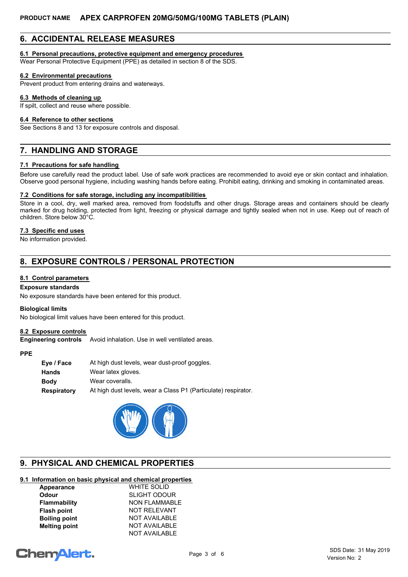# **6. ACCIDENTAL RELEASE MEASURES**

## **6.1 Personal precautions, protective equipment and emergency procedures**

Wear Personal Protective Equipment (PPE) as detailed in section 8 of the SDS.

## **6.2 Environmental precautions**

Prevent product from entering drains and waterways.

### **6.3 Methods of cleaning up**

If spilt, collect and reuse where possible.

## **6.4 Reference to other sections**

See Sections 8 and 13 for exposure controls and disposal.

# **7. HANDLING AND STORAGE**

## **7.1 Precautions for safe handling**

Before use carefully read the product label. Use of safe work practices are recommended to avoid eye or skin contact and inhalation. Observe good personal hygiene, including washing hands before eating. Prohibit eating, drinking and smoking in contaminated areas.

## **7.2 Conditions for safe storage, including any incompatibilities**

Store in a cool, dry, well marked area, removed from foodstuffs and other drugs. Storage areas and containers should be clearly marked for drug holding, protected from light, freezing or physical damage and tightly sealed when not in use. Keep out of reach of children. Store below 30°C.

## **7.3 Specific end uses**

No information provided.

# **8. EXPOSURE CONTROLS / PERSONAL PROTECTION**

## **8.1 Control parameters**

## **Exposure standards**

No exposure standards have been entered for this product.

#### **Biological limits**

No biological limit values have been entered for this product.

## **8.2 Exposure controls**

**Engineering controls** Avoid inhalation. Use in well ventilated areas.

#### **PPE**

| At high dust levels, wear dust-proof goggles.                  |  |  |
|----------------------------------------------------------------|--|--|
| Wear latex gloves.                                             |  |  |
| Wear coveralls.                                                |  |  |
| At high dust levels, wear a Class P1 (Particulate) respirator. |  |  |
|                                                                |  |  |



# **9. PHYSICAL AND CHEMICAL PROPERTIES**

# **9.1 Information on basic physical and chemical properties**

| Appearance           | <b>WHITE SOLID</b>   |
|----------------------|----------------------|
| Odour                | <b>SLIGHT ODOUR</b>  |
| Flammability         | <b>NON FLAMMABLE</b> |
| <b>Flash point</b>   | <b>NOT RELEVANT</b>  |
| <b>Boiling point</b> | <b>NOT AVAILABLE</b> |
| <b>Melting point</b> | <b>NOT AVAILABLE</b> |
|                      | <b>NOT AVAILABLE</b> |

# **ChemAlert.**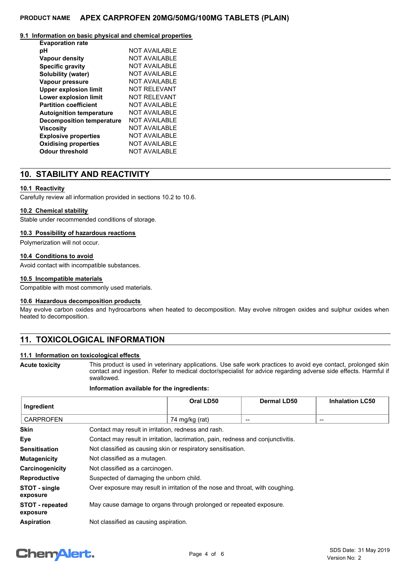## **PRODUCT NAME APEX CARPROFEN 20MG/50MG/100MG TABLETS (PLAIN)**

## **9.1 Information on basic physical and chemical properties**

| NOT AVAII ABI F      |
|----------------------|
| <b>NOT AVAILABLE</b> |
| NOT AVAII ABI F      |
| NOT AVAII ABI F      |
| <b>NOT AVAILABLE</b> |
| <b>NOT RELEVANT</b>  |
| NOT RFI FVANT        |
| NOT AVAII ABI F      |
| NOT AVAII ABI F      |
| NOT AVAII ABI F      |
| <b>NOT AVAILABLE</b> |
| <b>NOT AVAILABLE</b> |
| <b>NOT AVAILABLE</b> |
| <b>NOT AVAILABLE</b> |
|                      |

# **10. STABILITY AND REACTIVITY**

## **10.1 Reactivity**

Carefully review all information provided in sections 10.2 to 10.6.

## **10.2 Chemical stability**

Stable under recommended conditions of storage.

## **10.3 Possibility of hazardous reactions**

Polymerization will not occur.

## **10.4 Conditions to avoid**

Avoid contact with incompatible substances.

## **10.5 Incompatible materials**

Compatible with most commonly used materials.

### **10.6 Hazardous decomposition products**

May evolve carbon oxides and hydrocarbons when heated to decomposition. May evolve nitrogen oxides and sulphur oxides when heated to decomposition.

# **11. TOXICOLOGICAL INFORMATION**

## **11.1 Information on toxicological effects**

**Acute toxicity**

This product is used in veterinary applications. Use safe work practices to avoid eye contact, prolonged skin contact and ingestion. Refer to medical doctor/specialist for advice regarding adverse side effects. Harmful if swallowed.

#### **Information available for the ingredients:**

| Ingredient                         |                                                                                  | Oral LD50      | <b>Dermal LD50</b> | <b>Inhalation LC50</b> |
|------------------------------------|----------------------------------------------------------------------------------|----------------|--------------------|------------------------|
| <b>CARPROFEN</b>                   |                                                                                  | 74 mg/kg (rat) | --                 | $\qquad \qquad$        |
| <b>Skin</b>                        | Contact may result in irritation, redness and rash.                              |                |                    |                        |
| Eye                                | Contact may result in irritation, lacrimation, pain, redness and conjunctivitis. |                |                    |                        |
| <b>Sensitisation</b>               | Not classified as causing skin or respiratory sensitisation.                     |                |                    |                        |
| <b>Mutagenicity</b>                | Not classified as a mutagen.                                                     |                |                    |                        |
| Carcinogenicity                    | Not classified as a carcinogen.                                                  |                |                    |                        |
| <b>Reproductive</b>                | Suspected of damaging the unborn child.                                          |                |                    |                        |
| STOT - single<br>exposure          | Over exposure may result in irritation of the nose and throat, with coughing.    |                |                    |                        |
| <b>STOT - repeated</b><br>exposure | May cause damage to organs through prolonged or repeated exposure.               |                |                    |                        |
| <b>Aspiration</b>                  | Not classified as causing aspiration.                                            |                |                    |                        |

# **ChemAlert.**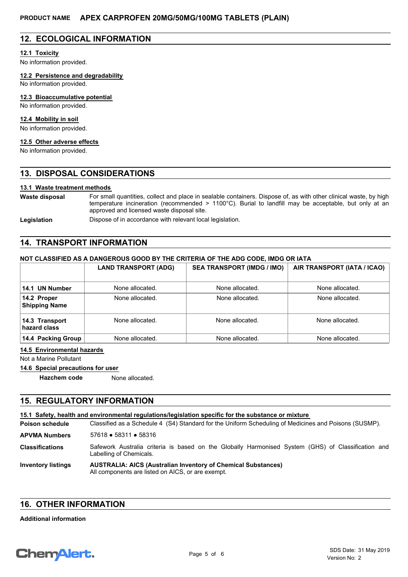# **12. ECOLOGICAL INFORMATION**

## **12.1 Toxicity**

No information provided.

**12.2 Persistence and degradability**

No information provided.

### **12.3 Bioaccumulative potential**

No information provided.

## **12.4 Mobility in soil**

No information provided.

# **12.5 Other adverse effects**

No information provided.

# **13. DISPOSAL CONSIDERATIONS**

## **13.1 Waste treatment methods**

For small quantities, collect and place in sealable containers. Dispose of, as with other clinical waste, by high temperature incineration (recommended > 1100°C). Burial to landfill may be acceptable, but only at an approved and licensed waste disposal site. **Waste disposal**

Legislation **Dispose of in accordance with relevant local legislation.** 

# **14. TRANSPORT INFORMATION**

## **NOT CLASSIFIED AS A DANGEROUS GOOD BY THE CRITERIA OF THE ADG CODE, IMDG OR IATA**

|                                     | <b>LAND TRANSPORT (ADG)</b> | <b>SEA TRANSPORT (IMDG / IMO)</b> | AIR TRANSPORT (IATA / ICAO) |
|-------------------------------------|-----------------------------|-----------------------------------|-----------------------------|
| 14.1 UN Number                      | None allocated.             | None allocated.                   | None allocated.             |
| 14.2 Proper<br><b>Shipping Name</b> | None allocated.             | None allocated.                   | None allocated.             |
| 14.3 Transport<br>hazard class      | None allocated.             | None allocated.                   | None allocated.             |
| 14.4 Packing Group                  | None allocated.             | None allocated.                   | None allocated.             |

#### **14.5 Environmental hazards**

Not a Marine Pollutant

#### **14.6 Special precautions for user**

**Hazchem code** None allocated.

# **15. REGULATORY INFORMATION**

#### **15.1 Safety, health and environmental regulations/legislation specific for the substance or mixture**

Classified as a Schedule 4 (S4) Standard for the Uniform Scheduling of Medicines and Poisons (SUSMP). **Poison schedule AUSTRALIA: AICS (Australian Inventory of Chemical Substances)** All components are listed on AICS, or are exempt. **Inventory listings** Safework Australia criteria is based on the Globally Harmonised System (GHS) of Classification and Labelling of Chemicals. **Classifications APVMA Numbers** 57618 ● 58311 ● 58316

## **16. OTHER INFORMATION**

#### **Additional information**